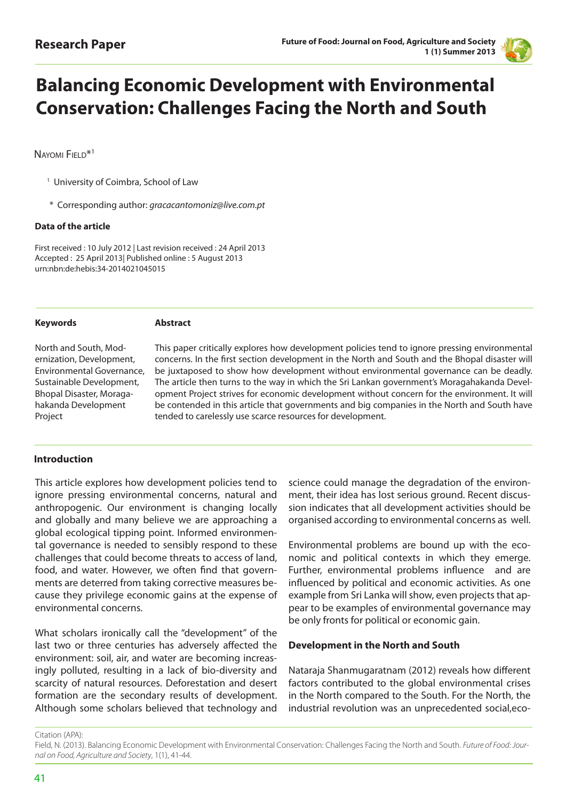

# **Balancing Economic Development with Environmental Conservation: Challenges Facing the North and South**

NAYOMI FIELD<sup>\*1</sup>

<sup>1</sup> University of Coimbra, School of Law

\* Corresponding author: *gracacantomoniz@live.com.pt* 

#### **Data of the article**

First received : 10 July 2012 | Last revision received : 24 April 2013 Accepted : 25 April 2013| Published online : 5 August 2013 urn:nbn:de:hebis:34-2014021045015

#### **Keywords**

#### **Abstract**

North and South, Modernization, Development, Environmental Governance, Sustainable Development, Bhopal Disaster, Moragahakanda Development Project

This paper critically explores how development policies tend to ignore pressing environmental concerns. In the first section development in the North and South and the Bhopal disaster will be juxtaposed to show how development without environmental governance can be deadly. The article then turns to the way in which the Sri Lankan government's Moragahakanda Development Project strives for economic development without concern for the environment. It will be contended in this article that governments and big companies in the North and South have tended to carelessly use scarce resources for development.

## **Introduction**

This article explores how development policies tend to ignore pressing environmental concerns, natural and anthropogenic. Our environment is changing locally and globally and many believe we are approaching a global ecological tipping point. Informed environmental governance is needed to sensibly respond to these challenges that could become threats to access of land, food, and water. However, we often find that governments are deterred from taking corrective measures because they privilege economic gains at the expense of environmental concerns.

What scholars ironically call the "development" of the last two or three centuries has adversely affected the environment: soil, air, and water are becoming increasingly polluted, resulting in a lack of bio-diversity and scarcity of natural resources. Deforestation and desert formation are the secondary results of development. Although some scholars believed that technology and science could manage the degradation of the environment, their idea has lost serious ground. Recent discussion indicates that all development activities should be organised according to environmental concerns as well.

Environmental problems are bound up with the economic and political contexts in which they emerge. Further, environmental problems influence and are influenced by political and economic activities. As one example from Sri Lanka will show, even projects that appear to be examples of environmental governance may be only fronts for political or economic gain.

## **Development in the North and South**

Nataraja Shanmugaratnam (2012) reveals how different factors contributed to the global environmental crises in the North compared to the South. For the North, the industrial revolution was an unprecedented social,eco-

Citation (APA):

Field, N. (2013). Balancing Economic Development with Environmental Conservation: Challenges Facing the North and South. *Future of Food: Journal on Food, Agriculture and Society*, 1(1), 41-44.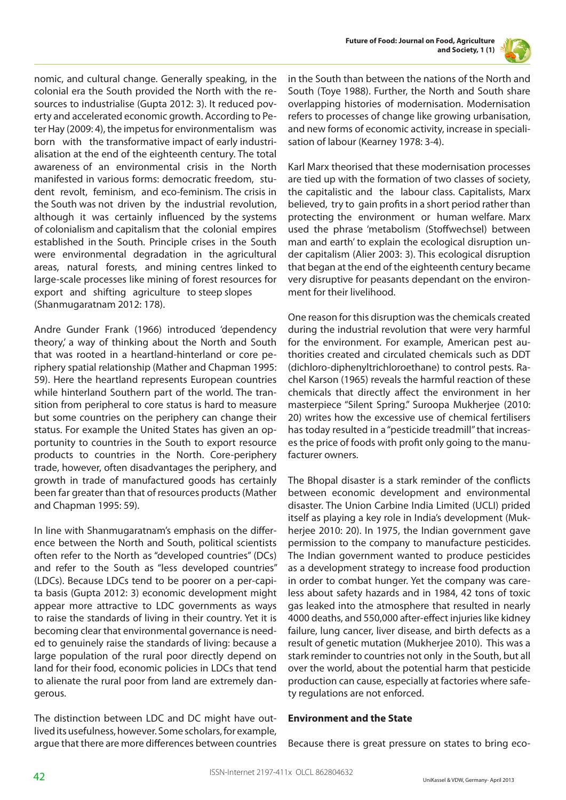

nomic, and cultural change. Generally speaking, in the colonial era the South provided the North with the resources to industrialise (Gupta 2012: 3). It reduced poverty and accelerated economic growth. According to Peter Hay (2009: 4), the impetus for environmentalism was born with the transformative impact of early industrialisation at the end of the eighteenth century. The total awareness of an environmental crisis in the North manifested in various forms: democratic freedom, student revolt, feminism, and eco-feminism. The crisis in the South was not driven by the industrial revolution, although it was certainly influenced by the systems of colonialism and capitalism that the colonial empires established in the South. Principle crises in the South were environmental degradation in the agricultural areas, natural forests, and mining centres linked to large-scale processes like mining of forest resources for export and shifting agriculture to steep slopes (Shanmugaratnam 2012: 178).

Andre Gunder Frank (1966) introduced 'dependency theory,' a way of thinking about the North and South that was rooted in a heartland-hinterland or core periphery spatial relationship (Mather and Chapman 1995: 59). Here the heartland represents European countries while hinterland Southern part of the world. The transition from peripheral to core status is hard to measure but some countries on the periphery can change their status. For example the United States has given an opportunity to countries in the South to export resource products to countries in the North. Core-periphery trade, however, often disadvantages the periphery, and growth in trade of manufactured goods has certainly been far greater than that of resources products (Mather and Chapman 1995: 59).

In line with Shanmugaratnam's emphasis on the difference between the North and South, political scientists often refer to the North as "developed countries" (DCs) and refer to the South as "less developed countries" (LDCs). Because LDCs tend to be poorer on a per-capita basis (Gupta 2012: 3) economic development might appear more attractive to LDC governments as ways to raise the standards of living in their country. Yet it is becoming clear that environmental governance is needed to genuinely raise the standards of living: because a large population of the rural poor directly depend on land for their food, economic policies in LDCs that tend to alienate the rural poor from land are extremely dangerous.

The distinction between LDC and DC might have outlived its usefulness, however. Some scholars, for example, argue that there are more differences between countries in the South than between the nations of the North and South (Toye 1988). Further, the North and South share overlapping histories of modernisation. Modernisation refers to processes of change like growing urbanisation, and new forms of economic activity, increase in specialisation of labour (Kearney 1978: 3-4).

Karl Marx theorised that these modernisation processes are tied up with the formation of two classes of society, the capitalistic and the labour class. Capitalists, Marx believed, try to gain profits in a short period rather than protecting the environment or human welfare. Marx used the phrase 'metabolism (Stoffwechsel) between man and earth' to explain the ecological disruption under capitalism (Alier 2003: 3). This ecological disruption that began at the end of the eighteenth century became very disruptive for peasants dependant on the environment for their livelihood.

One reason for this disruption was the chemicals created during the industrial revolution that were very harmful for the environment. For example, American pest authorities created and circulated chemicals such as DDT (dichloro-diphenyltrichloroethane) to control pests. Rachel Karson (1965) reveals the harmful reaction of these chemicals that directly affect the environment in her masterpiece "Silent Spring." Suroopa Mukherjee (2010: 20) writes how the excessive use of chemical fertilisers has today resulted in a "pesticide treadmill" that increases the price of foods with profit only going to the manufacturer owners.

The Bhopal disaster is a stark reminder of the conflicts between economic development and environmental disaster. The Union Carbine India Limited (UCLI) prided itself as playing a key role in India's development (Mukherjee 2010: 20). In 1975, the Indian government gave permission to the company to manufacture pesticides. The Indian government wanted to produce pesticides as a development strategy to increase food production in order to combat hunger. Yet the company was careless about safety hazards and in 1984, 42 tons of toxic gas leaked into the atmosphere that resulted in nearly 4000 deaths, and 550,000 after-effect injuries like kidney failure, lung cancer, liver disease, and birth defects as a result of genetic mutation (Mukherjee 2010). This was a stark reminder to countries not only in the South, but all over the world, about the potential harm that pesticide production can cause, especially at factories where safety regulations are not enforced.

## **Environment and the State**

Because there is great pressure on states to bring eco-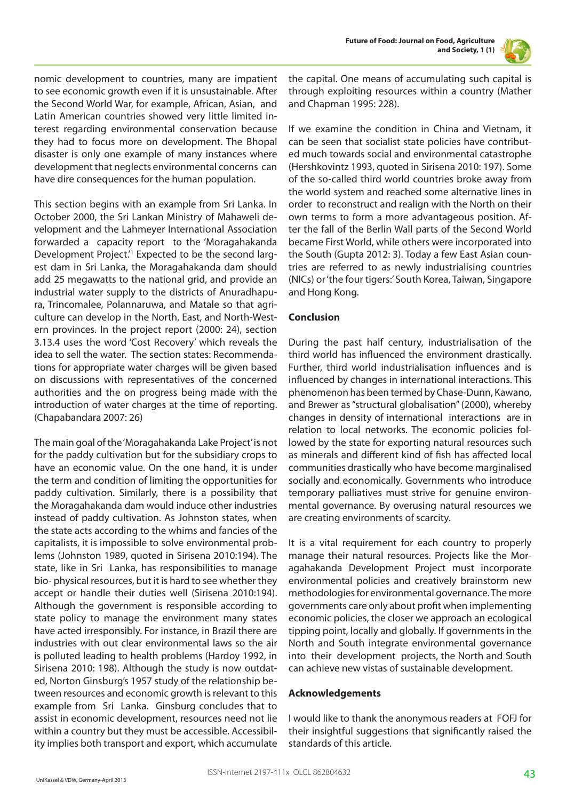

nomic development to countries, many are impatient to see economic growth even if it is unsustainable. After the Second World War, for example, African, Asian, and Latin American countries showed very little limited interest regarding environmental conservation because they had to focus more on development. The Bhopal disaster is only one example of many instances where development that neglects environmental concerns can have dire consequences for the human population.

This section begins with an example from Sri Lanka. In October 2000, the Sri Lankan Ministry of Mahaweli development and the Lahmeyer International Association forwarded a capacity report to the 'Moragahakanda Development Project.<sup>1</sup> Expected to be the second largest dam in Sri Lanka, the Moragahakanda dam should add 25 megawatts to the national grid, and provide an industrial water supply to the districts of Anuradhapura, Trincomalee, Polannaruwa, and Matale so that agriculture can develop in the North, East, and North-Western provinces. In the project report (2000: 24), section 3.13.4 uses the word 'Cost Recovery' which reveals the idea to sell the water. The section states: Recommendations for appropriate water charges will be given based on discussions with representatives of the concerned authorities and the on progress being made with the introduction of water charges at the time of reporting. (Chapabandara 2007: 26)

The main goal of the 'Moragahakanda Lake Project' is not for the paddy cultivation but for the subsidiary crops to have an economic value. On the one hand, it is under the term and condition of limiting the opportunities for paddy cultivation. Similarly, there is a possibility that the Moragahakanda dam would induce other industries instead of paddy cultivation. As Johnston states, when the state acts according to the whims and fancies of the capitalists, it is impossible to solve environmental problems (Johnston 1989, quoted in Sirisena 2010:194). The state, like in Sri Lanka, has responsibilities to manage bio- physical resources, but it is hard to see whether they accept or handle their duties well (Sirisena 2010:194). Although the government is responsible according to state policy to manage the environment many states have acted irresponsibly. For instance, in Brazil there are industries with out clear environmental laws so the air is polluted leading to health problems (Hardoy 1992, in Sirisena 2010: 198). Although the study is now outdated, Norton Ginsburg's 1957 study of the relationship between resources and economic growth is relevant to this example from Sri Lanka. Ginsburg concludes that to assist in economic development, resources need not lie within a country but they must be accessible. Accessibility implies both transport and export, which accumulate

the capital. One means of accumulating such capital is through exploiting resources within a country (Mather and Chapman 1995: 228).

If we examine the condition in China and Vietnam, it can be seen that socialist state policies have contributed much towards social and environmental catastrophe (Hershkovintz 1993, quoted in Sirisena 2010: 197). Some of the so-called third world countries broke away from the world system and reached some alternative lines in order to reconstruct and realign with the North on their own terms to form a more advantageous position. After the fall of the Berlin Wall parts of the Second World became First World, while others were incorporated into the South (Gupta 2012: 3). Today a few East Asian countries are referred to as newly industrialising countries (NICs) or 'the four tigers:' South Korea, Taiwan, Singapore and Hong Kong.

## **Conclusion**

During the past half century, industrialisation of the third world has influenced the environment drastically. Further, third world industrialisation influences and is influenced by changes in international interactions. This phenomenon has been termed by Chase-Dunn, Kawano, and Brewer as "structural globalisation" (2000), whereby changes in density of international interactions are in relation to local networks. The economic policies followed by the state for exporting natural resources such as minerals and different kind of fish has affected local communities drastically who have become marginalised socially and economically. Governments who introduce temporary palliatives must strive for genuine environmental governance. By overusing natural resources we are creating environments of scarcity.

It is a vital requirement for each country to properly manage their natural resources. Projects like the Moragahakanda Development Project must incorporate environmental policies and creatively brainstorm new methodologies for environmental governance. The more governments care only about profit when implementing economic policies, the closer we approach an ecological tipping point, locally and globally. If governments in the North and South integrate environmental governance into their development projects, the North and South can achieve new vistas of sustainable development.

## **Acknowledgements**

I would like to thank the anonymous readers at FOFJ for their insightful suggestions that significantly raised the standards of this article.